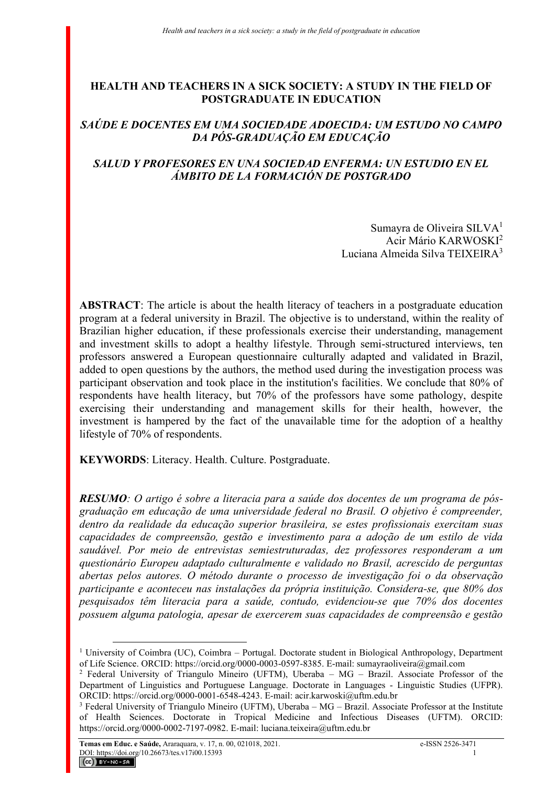# **HEALTH AND TEACHERS IN A SICK SOCIETY: A STUDY IN THE FIELD OF POSTGRADUATE IN EDUCATION**

## *SAÚDE E DOCENTES EM UMA SOCIEDADE ADOECIDA: UM ESTUDO NO CAMPO DA PÓS-GRADUAÇÃO EM EDUCAÇÃO*

# *SALUD Y PROFESORES EN UNA SOCIEDAD ENFERMA: UN ESTUDIO EN EL ÁMBITO DE LA FORMACIÓN DE POSTGRADO*

Sumayra de Oliveira SILVA<sup>1</sup> Acir Mário KARWOSKI<sup>2</sup> Luciana Almeida Silva TEIXEIRA<sup>3</sup>

**ABSTRACT**: The article is about the health literacy of teachers in a postgraduate education program at a federal university in Brazil. The objective is to understand, within the reality of Brazilian higher education, if these professionals exercise their understanding, management and investment skills to adopt a healthy lifestyle. Through semi-structured interviews, ten professors answered a European questionnaire culturally adapted and validated in Brazil, added to open questions by the authors, the method used during the investigation process was participant observation and took place in the institution's facilities. We conclude that 80% of respondents have health literacy, but 70% of the professors have some pathology, despite exercising their understanding and management skills for their health, however, the investment is hampered by the fact of the unavailable time for the adoption of a healthy lifestyle of 70% of respondents.

**KEYWORDS**: Literacy. Health. Culture. Postgraduate.

*RESUMO: O artigo é sobre a literacia para a saúde dos docentes de um programa de pósgraduação em educação de uma universidade federal no Brasil. O objetivo é compreender, dentro da realidade da educação superior brasileira, se estes profissionais exercitam suas capacidades de compreensão, gestão e investimento para a adoção de um estilo de vida saudável. Por meio de entrevistas semiestruturadas, dez professores responderam a um questionário Europeu adaptado culturalmente e validado no Brasil, acrescido de perguntas abertas pelos autores. O método durante o processo de investigação foi o da observação participante e aconteceu nas instalações da própria instituição. Considera-se, que 80% dos pesquisados têm literacia para a saúde, contudo, evidenciou-se que 70% dos docentes possuem alguma patologia, apesar de exercerem suas capacidades de compreensão e gestão* 

<sup>&</sup>lt;sup>1</sup> University of Coimbra (UC), Coimbra – Portugal. Doctorate student in Biological Anthropology, Department of Life Science. ORCID: https://orcid.org/0000-0003-0597-8385. E-mail: sumayraoliveira@gmail.com

<sup>2</sup> Federal University of Triangulo Mineiro (UFTM), Uberaba – MG – Brazil. Associate Professor of the Department of Linguistics and Portuguese Language. Doctorate in Languages - Linguistic Studies (UFPR). ORCID: https://orcid.org/0000-0001-6548-4243. E-mail: acir.karwoski@uftm.edu.br

<sup>&</sup>lt;sup>3</sup> Federal University of Triangulo Mineiro (UFTM), Uberaba – MG – Brazil. Associate Professor at the Institute of Health Sciences. Doctorate in Tropical Medicine and Infectious Diseases (UFTM). ORCID: https://orcid.org/0000-0002-7197-0982. E-mail: luciana.teixeira@uftm.edu.br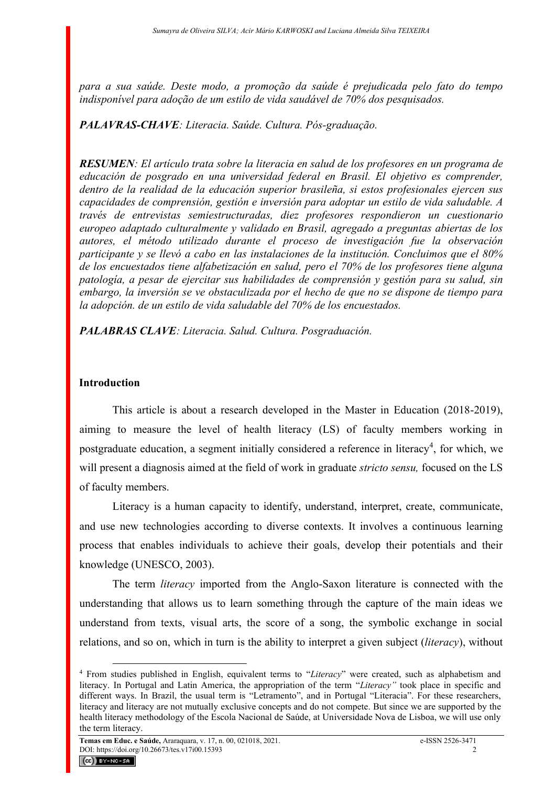*para a sua saúde. Deste modo, a promoção da saúde é prejudicada pelo fato do tempo indisponível para adoção de um estilo de vida saudável de 70% dos pesquisados.*

# *PALAVRAS-CHAVE: Literacia. Saúde. Cultura. Pós-graduação.*

*RESUMEN: El artículo trata sobre la literacia en salud de los profesores en un programa de educación de posgrado en una universidad federal en Brasil. El objetivo es comprender, dentro de la realidad de la educación superior brasileña, si estos profesionales ejercen sus capacidades de comprensión, gestión e inversión para adoptar un estilo de vida saludable. A través de entrevistas semiestructuradas, diez profesores respondieron un cuestionario europeo adaptado culturalmente y validado en Brasil, agregado a preguntas abiertas de los autores, el método utilizado durante el proceso de investigación fue la observación participante y se llevó a cabo en las instalaciones de la institución. Concluimos que el 80% de los encuestados tiene alfabetización en salud, pero el 70% de los profesores tiene alguna patología, a pesar de ejercitar sus habilidades de comprensión y gestión para su salud, sin embargo, la inversión se ve obstaculizada por el hecho de que no se dispone de tiempo para la adopción. de un estilo de vida saludable del 70% de los encuestados.*

*PALABRAS CLAVE: Literacia. Salud. Cultura. Posgraduación.*

## **Introduction**

This article is about a research developed in the Master in Education (2018-2019), aiming to measure the level of health literacy (LS) of faculty members working in postgraduate education, a segment initially considered a reference in literacy<sup>4</sup>, for which, we will present a diagnosis aimed at the field of work in graduate *stricto sensu,* focused on the LS of faculty members.

Literacy is a human capacity to identify, understand, interpret, create, communicate, and use new technologies according to diverse contexts. It involves a continuous learning process that enables individuals to achieve their goals, develop their potentials and their knowledge (UNESCO, 2003).

The term *literacy* imported from the Anglo-Saxon literature is connected with the understanding that allows us to learn something through the capture of the main ideas we understand from texts, visual arts, the score of a song, the symbolic exchange in social relations, and so on, which in turn is the ability to interpret a given subject (*literacy*), without



<sup>4</sup> From studies published in English, equivalent terms to "*Literacy*" were created, such as alphabetism and literacy. In Portugal and Latin America, the appropriation of the term "*Literacy"* took place in specific and different ways. In Brazil, the usual term is "Letramento", and in Portugal "Literacia". For these researchers, literacy and literacy are not mutually exclusive concepts and do not compete. But since we are supported by the health literacy methodology of the Escola Nacional de Saúde, at Universidade Nova de Lisboa, we will use only the term literacy.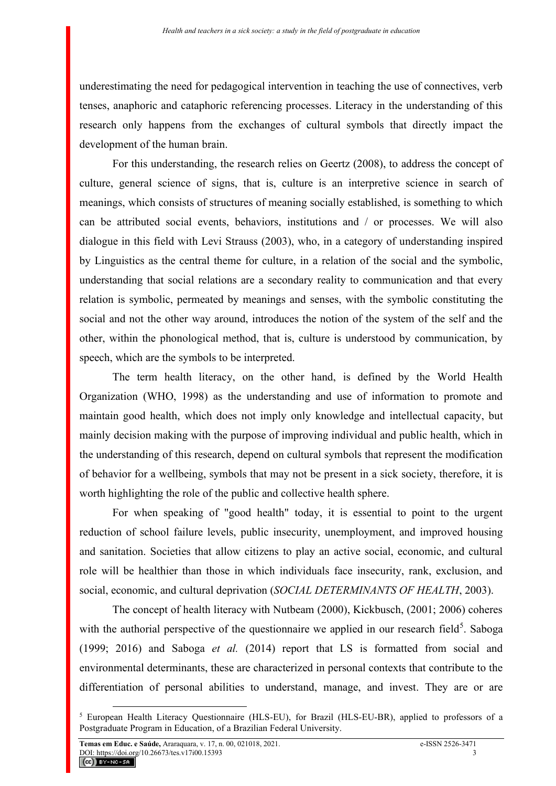underestimating the need for pedagogical intervention in teaching the use of connectives, verb tenses, anaphoric and cataphoric referencing processes. Literacy in the understanding of this research only happens from the exchanges of cultural symbols that directly impact the development of the human brain.

For this understanding, the research relies on Geertz (2008), to address the concept of culture, general science of signs, that is, culture is an interpretive science in search of meanings, which consists of structures of meaning socially established, is something to which can be attributed social events, behaviors, institutions and / or processes. We will also dialogue in this field with Levi Strauss (2003), who, in a category of understanding inspired by Linguistics as the central theme for culture, in a relation of the social and the symbolic, understanding that social relations are a secondary reality to communication and that every relation is symbolic, permeated by meanings and senses, with the symbolic constituting the social and not the other way around, introduces the notion of the system of the self and the other, within the phonological method, that is, culture is understood by communication, by speech, which are the symbols to be interpreted.

The term health literacy, on the other hand, is defined by the World Health Organization (WHO, 1998) as the understanding and use of information to promote and maintain good health, which does not imply only knowledge and intellectual capacity, but mainly decision making with the purpose of improving individual and public health, which in the understanding of this research, depend on cultural symbols that represent the modification of behavior for a wellbeing, symbols that may not be present in a sick society, therefore, it is worth highlighting the role of the public and collective health sphere.

For when speaking of "good health" today, it is essential to point to the urgent reduction of school failure levels, public insecurity, unemployment, and improved housing and sanitation. Societies that allow citizens to play an active social, economic, and cultural role will be healthier than those in which individuals face insecurity, rank, exclusion, and social, economic, and cultural deprivation (*SOCIAL DETERMINANTS OF HEALTH*, 2003).

The concept of health literacy with Nutbeam (2000), Kickbusch, (2001; 2006) coheres with the authorial perspective of the questionnaire we applied in our research field<sup>5</sup>. Saboga (1999; 2016) and Saboga *et al.* (2014) report that LS is formatted from social and environmental determinants, these are characterized in personal contexts that contribute to the differentiation of personal abilities to understand, manage, and invest. They are or are

<sup>5</sup> European Health Literacy Questionnaire (HLS-EU), for Brazil (HLS-EU-BR), applied to professors of a Postgraduate Program in Education, of a Brazilian Federal University.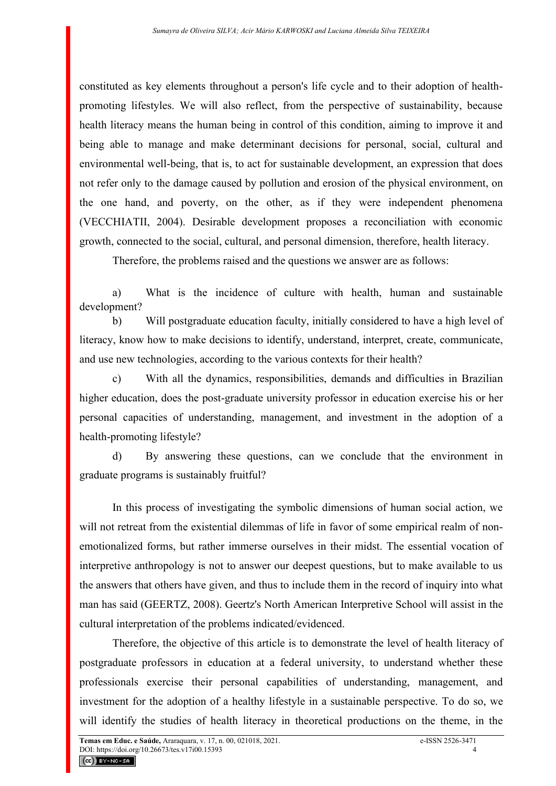constituted as key elements throughout a person's life cycle and to their adoption of healthpromoting lifestyles. We will also reflect, from the perspective of sustainability, because health literacy means the human being in control of this condition, aiming to improve it and being able to manage and make determinant decisions for personal, social, cultural and environmental well-being, that is, to act for sustainable development, an expression that does not refer only to the damage caused by pollution and erosion of the physical environment, on the one hand, and poverty, on the other, as if they were independent phenomena (VECCHIATII, 2004). Desirable development proposes a reconciliation with economic growth, connected to the social, cultural, and personal dimension, therefore, health literacy.

Therefore, the problems raised and the questions we answer are as follows:

a) What is the incidence of culture with health, human and sustainable development?

b) Will postgraduate education faculty, initially considered to have a high level of literacy, know how to make decisions to identify, understand, interpret, create, communicate, and use new technologies, according to the various contexts for their health?

c) With all the dynamics, responsibilities, demands and difficulties in Brazilian higher education, does the post-graduate university professor in education exercise his or her personal capacities of understanding, management, and investment in the adoption of a health-promoting lifestyle?

d) By answering these questions, can we conclude that the environment in graduate programs is sustainably fruitful?

In this process of investigating the symbolic dimensions of human social action, we will not retreat from the existential dilemmas of life in favor of some empirical realm of nonemotionalized forms, but rather immerse ourselves in their midst. The essential vocation of interpretive anthropology is not to answer our deepest questions, but to make available to us the answers that others have given, and thus to include them in the record of inquiry into what man has said (GEERTZ, 2008). Geertz's North American Interpretive School will assist in the cultural interpretation of the problems indicated/evidenced.

Therefore, the objective of this article is to demonstrate the level of health literacy of postgraduate professors in education at a federal university, to understand whether these professionals exercise their personal capabilities of understanding, management, and investment for the adoption of a healthy lifestyle in a sustainable perspective. To do so, we will identify the studies of health literacy in theoretical productions on the theme, in the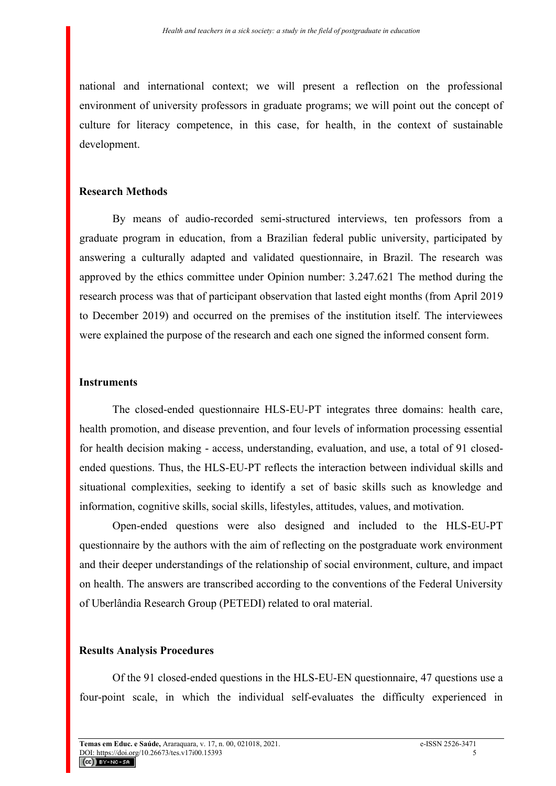national and international context; we will present a reflection on the professional environment of university professors in graduate programs; we will point out the concept of culture for literacy competence, in this case, for health, in the context of sustainable development.

## **Research Methods**

By means of audio-recorded semi-structured interviews, ten professors from a graduate program in education, from a Brazilian federal public university, participated by answering a culturally adapted and validated questionnaire, in Brazil. The research was approved by the ethics committee under Opinion number: 3.247.621 The method during the research process was that of participant observation that lasted eight months (from April 2019 to December 2019) and occurred on the premises of the institution itself. The interviewees were explained the purpose of the research and each one signed the informed consent form.

### **Instruments**

The closed-ended questionnaire HLS-EU-PT integrates three domains: health care, health promotion, and disease prevention, and four levels of information processing essential for health decision making - access, understanding, evaluation, and use, a total of 91 closedended questions. Thus, the HLS-EU-PT reflects the interaction between individual skills and situational complexities, seeking to identify a set of basic skills such as knowledge and information, cognitive skills, social skills, lifestyles, attitudes, values, and motivation.

Open-ended questions were also designed and included to the HLS-EU-PT questionnaire by the authors with the aim of reflecting on the postgraduate work environment and their deeper understandings of the relationship of social environment, culture, and impact on health. The answers are transcribed according to the conventions of the Federal University of Uberlândia Research Group (PETEDI) related to oral material.

## **Results Analysis Procedures**

Of the 91 closed-ended questions in the HLS-EU-EN questionnaire, 47 questions use a four-point scale, in which the individual self-evaluates the difficulty experienced in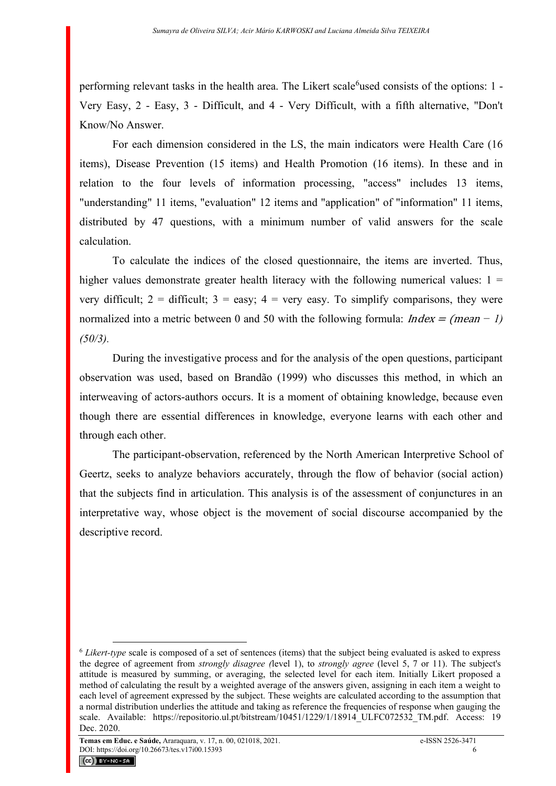performing relevant tasks in the health area. The Likert scale<sup>6</sup>used consists of the options: 1 -Very Easy, 2 - Easy, 3 - Difficult, and 4 - Very Difficult, with a fifth alternative, "Don't Know/No Answer.

For each dimension considered in the LS, the main indicators were Health Care (16 items), Disease Prevention (15 items) and Health Promotion (16 items). In these and in relation to the four levels of information processing, "access" includes 13 items, "understanding" 11 items, "evaluation" 12 items and "application" of "information" 11 items, distributed by 47 questions, with a minimum number of valid answers for the scale calculation.

To calculate the indices of the closed questionnaire, the items are inverted. Thus, higher values demonstrate greater health literacy with the following numerical values:  $1 =$ very difficult;  $2 =$  difficult;  $3 =$  easy;  $4 =$  very easy. To simplify comparisons, they were normalized into a metric between 0 and 50 with the following formula: Index = (mean *− 1) (50/3).*

During the investigative process and for the analysis of the open questions, participant observation was used, based on Brandão (1999) who discusses this method, in which an interweaving of actors-authors occurs. It is a moment of obtaining knowledge, because even though there are essential differences in knowledge, everyone learns with each other and through each other.

The participant-observation, referenced by the North American Interpretive School of Geertz, seeks to analyze behaviors accurately, through the flow of behavior (social action) that the subjects find in articulation. This analysis is of the assessment of conjunctures in an interpretative way, whose object is the movement of social discourse accompanied by the descriptive record.



<sup>6</sup> *Likert-type* scale is composed of a set of sentences (items) that the subject being evaluated is asked to express the degree of agreement from *strongly disagree (*level 1), to *strongly agree* (level 5, 7 or 11). The subject's attitude is measured by summing, or averaging, the selected level for each item. Initially Likert proposed a method of calculating the result by a weighted average of the answers given, assigning in each item a weight to each level of agreement expressed by the subject. These weights are calculated according to the assumption that a normal distribution underlies the attitude and taking as reference the frequencies of response when gauging the scale. Available: https://repositorio.ul.pt/bitstream/10451/1229/1/18914\_ULFC072532\_TM.pdf. Access: 19 Dec. 2020.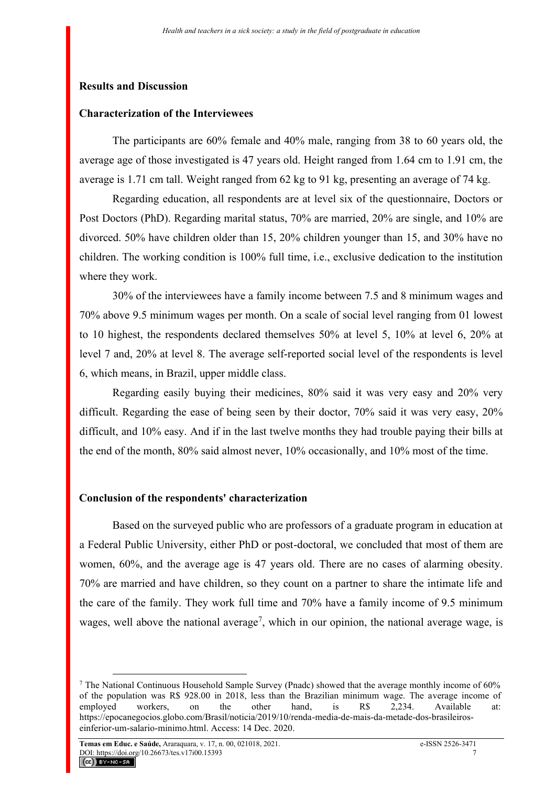#### **Results and Discussion**

#### **Characterization of the Interviewees**

The participants are 60% female and 40% male, ranging from 38 to 60 years old, the average age of those investigated is 47 years old. Height ranged from 1.64 cm to 1.91 cm, the average is 1.71 cm tall. Weight ranged from 62 kg to 91 kg, presenting an average of 74 kg.

Regarding education, all respondents are at level six of the questionnaire, Doctors or Post Doctors (PhD). Regarding marital status, 70% are married, 20% are single, and 10% are divorced. 50% have children older than 15, 20% children younger than 15, and 30% have no children. The working condition is 100% full time, i.e., exclusive dedication to the institution where they work.

30% of the interviewees have a family income between 7.5 and 8 minimum wages and 70% above 9.5 minimum wages per month. On a scale of social level ranging from 01 lowest to 10 highest, the respondents declared themselves 50% at level 5, 10% at level 6, 20% at level 7 and, 20% at level 8. The average self-reported social level of the respondents is level 6, which means, in Brazil, upper middle class.

Regarding easily buying their medicines, 80% said it was very easy and 20% very difficult. Regarding the ease of being seen by their doctor, 70% said it was very easy, 20% difficult, and 10% easy. And if in the last twelve months they had trouble paying their bills at the end of the month, 80% said almost never, 10% occasionally, and 10% most of the time.

#### **Conclusion of the respondents' characterization**

Based on the surveyed public who are professors of a graduate program in education at a Federal Public University, either PhD or post-doctoral, we concluded that most of them are women, 60%, and the average age is 47 years old. There are no cases of alarming obesity. 70% are married and have children, so they count on a partner to share the intimate life and the care of the family. They work full time and 70% have a family income of 9.5 minimum wages, well above the national average<sup>7</sup>, which in our opinion, the national average wage, is

<sup>&</sup>lt;sup>7</sup> The National Continuous Household Sample Survey (Pnadc) showed that the average monthly income of  $60\%$ of the population was R\$ 928.00 in 2018, less than the Brazilian minimum wage. The average income of employed workers, on the other hand, is R\$ 2,234. Available at: https://epocanegocios.globo.com/Brasil/noticia/2019/10/renda-media-de-mais-da-metade-dos-brasileiroseinferior-um-salario-minimo.html. Access: 14 Dec. 2020.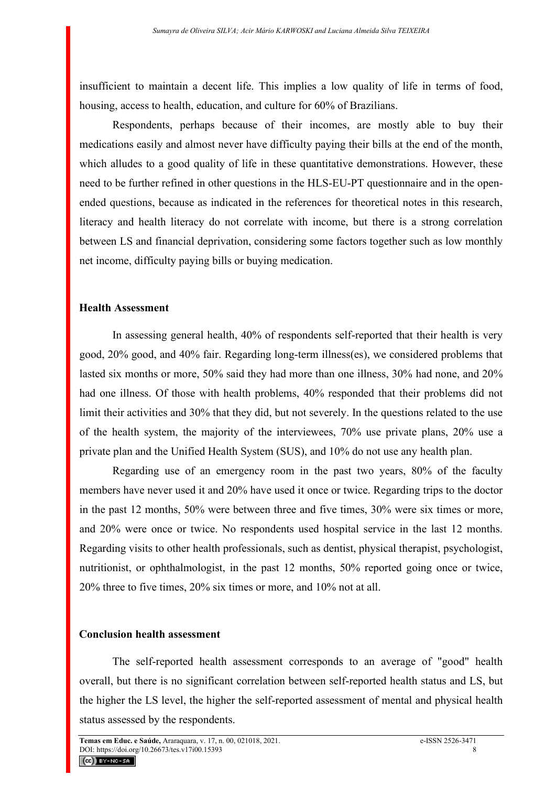insufficient to maintain a decent life. This implies a low quality of life in terms of food, housing, access to health, education, and culture for 60% of Brazilians.

Respondents, perhaps because of their incomes, are mostly able to buy their medications easily and almost never have difficulty paying their bills at the end of the month, which alludes to a good quality of life in these quantitative demonstrations. However, these need to be further refined in other questions in the HLS-EU-PT questionnaire and in the openended questions, because as indicated in the references for theoretical notes in this research, literacy and health literacy do not correlate with income, but there is a strong correlation between LS and financial deprivation, considering some factors together such as low monthly net income, difficulty paying bills or buying medication.

### **Health Assessment**

In assessing general health, 40% of respondents self-reported that their health is very good, 20% good, and 40% fair. Regarding long-term illness(es), we considered problems that lasted six months or more, 50% said they had more than one illness, 30% had none, and 20% had one illness. Of those with health problems, 40% responded that their problems did not limit their activities and 30% that they did, but not severely. In the questions related to the use of the health system, the majority of the interviewees, 70% use private plans, 20% use a private plan and the Unified Health System (SUS), and 10% do not use any health plan.

Regarding use of an emergency room in the past two years, 80% of the faculty members have never used it and 20% have used it once or twice. Regarding trips to the doctor in the past 12 months, 50% were between three and five times, 30% were six times or more, and 20% were once or twice. No respondents used hospital service in the last 12 months. Regarding visits to other health professionals, such as dentist, physical therapist, psychologist, nutritionist, or ophthalmologist, in the past 12 months, 50% reported going once or twice, 20% three to five times, 20% six times or more, and 10% not at all.

#### **Conclusion health assessment**

The self-reported health assessment corresponds to an average of "good" health overall, but there is no significant correlation between self-reported health status and LS, but the higher the LS level, the higher the self-reported assessment of mental and physical health status assessed by the respondents.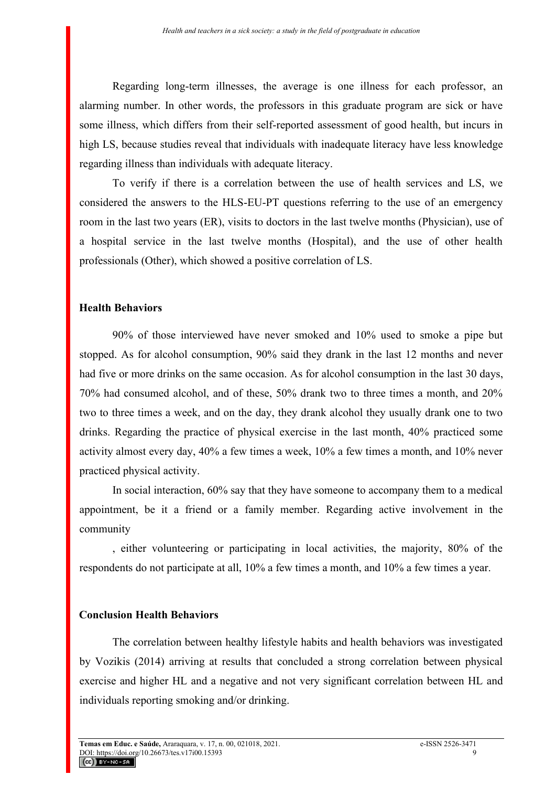Regarding long-term illnesses, the average is one illness for each professor, an alarming number. In other words, the professors in this graduate program are sick or have some illness, which differs from their self-reported assessment of good health, but incurs in high LS, because studies reveal that individuals with inadequate literacy have less knowledge regarding illness than individuals with adequate literacy.

To verify if there is a correlation between the use of health services and LS, we considered the answers to the HLS-EU-PT questions referring to the use of an emergency room in the last two years (ER), visits to doctors in the last twelve months (Physician), use of a hospital service in the last twelve months (Hospital), and the use of other health professionals (Other), which showed a positive correlation of LS.

## **Health Behaviors**

90% of those interviewed have never smoked and 10% used to smoke a pipe but stopped. As for alcohol consumption, 90% said they drank in the last 12 months and never had five or more drinks on the same occasion. As for alcohol consumption in the last 30 days, 70% had consumed alcohol, and of these, 50% drank two to three times a month, and 20% two to three times a week, and on the day, they drank alcohol they usually drank one to two drinks. Regarding the practice of physical exercise in the last month, 40% practiced some activity almost every day, 40% a few times a week, 10% a few times a month, and 10% never practiced physical activity.

In social interaction, 60% say that they have someone to accompany them to a medical appointment, be it a friend or a family member. Regarding active involvement in the community

, either volunteering or participating in local activities, the majority, 80% of the respondents do not participate at all, 10% a few times a month, and 10% a few times a year.

#### **Conclusion Health Behaviors**

The correlation between healthy lifestyle habits and health behaviors was investigated by Vozikis (2014) arriving at results that concluded a strong correlation between physical exercise and higher HL and a negative and not very significant correlation between HL and individuals reporting smoking and/or drinking.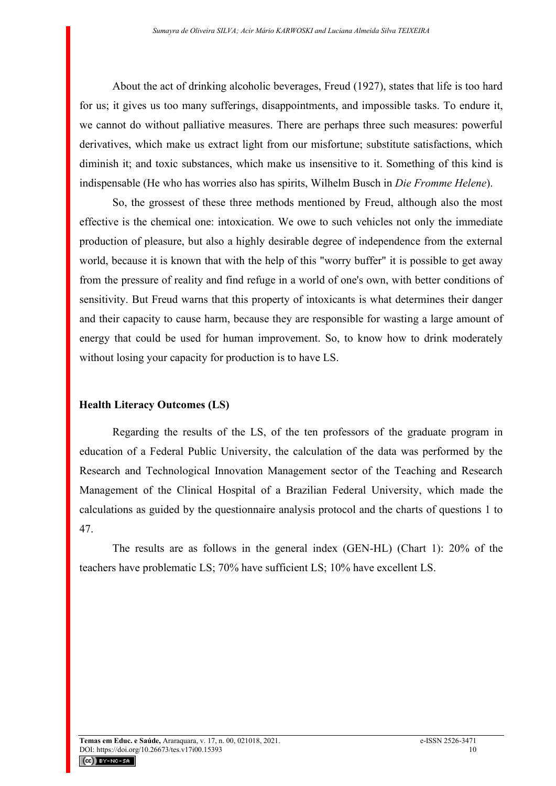About the act of drinking alcoholic beverages, Freud (1927), states that life is too hard for us; it gives us too many sufferings, disappointments, and impossible tasks. To endure it, we cannot do without palliative measures. There are perhaps three such measures: powerful derivatives, which make us extract light from our misfortune; substitute satisfactions, which diminish it; and toxic substances, which make us insensitive to it. Something of this kind is indispensable (He who has worries also has spirits, Wilhelm Busch in *Die Fromme Helene*).

So, the grossest of these three methods mentioned by Freud, although also the most effective is the chemical one: intoxication. We owe to such vehicles not only the immediate production of pleasure, but also a highly desirable degree of independence from the external world, because it is known that with the help of this "worry buffer" it is possible to get away from the pressure of reality and find refuge in a world of one's own, with better conditions of sensitivity. But Freud warns that this property of intoxicants is what determines their danger and their capacity to cause harm, because they are responsible for wasting a large amount of energy that could be used for human improvement. So, to know how to drink moderately without losing your capacity for production is to have LS.

# **Health Literacy Outcomes (LS)**

Regarding the results of the LS, of the ten professors of the graduate program in education of a Federal Public University, the calculation of the data was performed by the Research and Technological Innovation Management sector of the Teaching and Research Management of the Clinical Hospital of a Brazilian Federal University, which made the calculations as guided by the questionnaire analysis protocol and the charts of questions 1 to 47.

The results are as follows in the general index (GEN-HL) (Chart 1): 20% of the teachers have problematic LS; 70% have sufficient LS; 10% have excellent LS.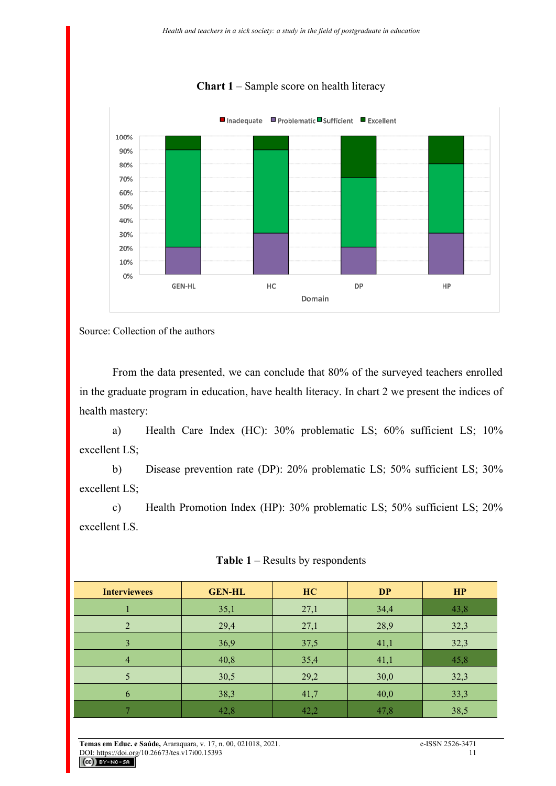

# **Chart 1** – Sample score on health literacy

Source: Collection of the authors

From the data presented, we can conclude that 80% of the surveyed teachers enrolled in the graduate program in education, have health literacy. In chart 2 we present the indices of health mastery:

a) Health Care Index (HC): 30% problematic LS; 60% sufficient LS; 10% excellent LS;

b) Disease prevention rate (DP): 20% problematic LS; 50% sufficient LS; 30% excellent LS;

c) Health Promotion Index (HP): 30% problematic LS; 50% sufficient LS; 20% excellent LS.

| <b>Interviewees</b> | <b>GEN-HL</b> | HC   | <b>DP</b> | HP   |
|---------------------|---------------|------|-----------|------|
|                     | 35,1          | 27,1 | 34,4      | 43,8 |
| 2                   | 29,4          | 27,1 | 28,9      | 32,3 |
| 3                   | 36,9          | 37,5 | 41,1      | 32,3 |
| $\overline{4}$      | 40,8          | 35,4 | 41,1      | 45,8 |
| 5                   | 30,5          | 29,2 | 30,0      | 32,3 |
| 6                   | 38,3          | 41,7 | 40,0      | 33,3 |
|                     | 42,8          | 42,2 | 47,8      | 38,5 |

#### **Table 1** – Results by respondents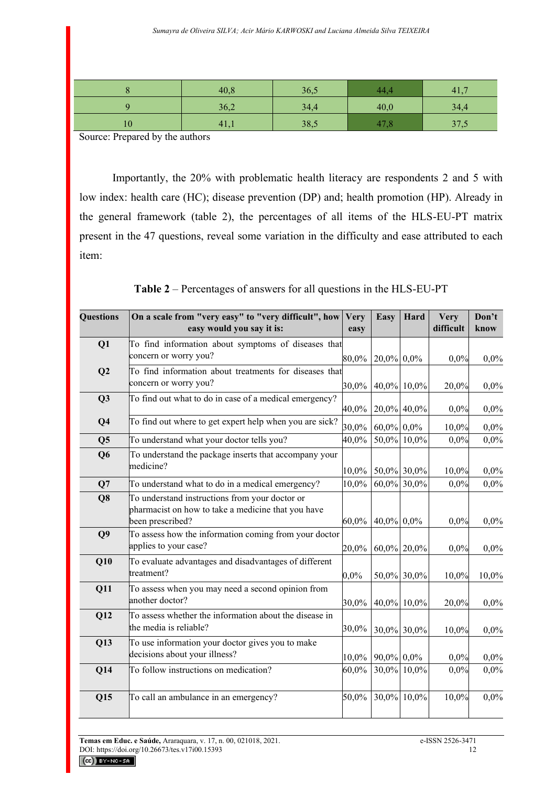|    | 40,8 | 36,5 |      | 41,  |
|----|------|------|------|------|
|    | 36,2 | 34,4 | 40,0 | 34,4 |
| 10 | 41,1 | 38,5 |      | 37,5 |

Source: Prepared by the authors

Importantly, the 20% with problematic health literacy are respondents 2 and 5 with low index: health care (HC); disease prevention (DP) and; health promotion (HP). Already in the general framework (table 2), the percentages of all items of the HLS-EU-PT matrix present in the 47 questions, reveal some variation in the difficulty and ease attributed to each item:

**Table 2** – Percentages of answers for all questions in the HLS-EU-PT

| <b>Questions</b> | On a scale from "very easy" to "very difficult", how<br>easy would you say it is:                                        | <b>Very</b><br>easy | Easy          | Hard           | <b>Very</b><br>difficult | Don't<br>know |
|------------------|--------------------------------------------------------------------------------------------------------------------------|---------------------|---------------|----------------|--------------------------|---------------|
| Q1               | To find information about symptoms of diseases that<br>concern or worry you?                                             | $80,0\%$            | $20,0\%$ 0.0% |                | 0,0%                     | 0,0%          |
| Q2               | To find information about treatments for diseases that<br>concern or worry you?                                          | 30,0%               |               | 40,0% 10,0%    | 20,0%                    | 0,0%          |
| Q <sub>3</sub>   | To find out what to do in case of a medical emergency?                                                                   | 40,0%               |               | 20,0% 40,0%    | 0,0%                     | 0,0%          |
| Q <sub>4</sub>   | To find out where to get expert help when you are sick?                                                                  | 30,0%               | $60,0\%$ 0,0% |                | 10,0%                    | 0,0%          |
| Q <sub>5</sub>   | To understand what your doctor tells you?                                                                                | 40,0%               |               | 50,0% 10,0%    | 0,0%                     | 0,0%          |
| Q <sub>6</sub>   | To understand the package inserts that accompany your<br>medicine?                                                       | 10,0%               |               | 50,0% 30,0%    | 10,0%                    | 0,0%          |
| Q7               | To understand what to do in a medical emergency?                                                                         | 10,0%               |               | $60,0\%$ 30,0% | 0,0%                     | 0,0%          |
| Q8               | To understand instructions from your doctor or<br>pharmacist on how to take a medicine that you have<br>been prescribed? | $60,0\%$            | $40,0\%$ 0,0% |                | 0,0%                     | 0,0%          |
| Q <sub>9</sub>   | To assess how the information coming from your doctor<br>applies to your case?                                           | 20,0%               |               | 60,0% 20,0%    | 0,0%                     | 0,0%          |
| Q10              | To evaluate advantages and disadvantages of different<br>treatment?                                                      | $0,0\%$             |               | 50,0% 30,0%    | 10,0%                    | 10,0%         |
| Q11              | To assess when you may need a second opinion from<br>another doctor?                                                     | 30,0%               |               | 40,0% 10,0%    | 20,0%                    | 0,0%          |
| Q12              | To assess whether the information about the disease in<br>the media is reliable?                                         | 30,0%               | 30,0% 30,0%   |                | 10,0%                    | 0,0%          |
| Q13              | To use information your doctor gives you to make<br>decisions about your illness?                                        | $10,0\%$            | $90,0\%$ 0,0% |                | 0,0%                     | 0,0%          |
| Q14              | To follow instructions on medication?                                                                                    | 60,0%               | 30,0%         | 10,0%          | 0,0%                     | 0,0%          |
| Q15              | To call an ambulance in an emergency?                                                                                    | 50,0%               | 30,0%         | 10,0%          | 10,0%                    | 0,0%          |

**Temas em Educ. e Saúde,** Araraquara, v. 17, n. 00, 021018, 2021. e-ISSN 2526-3471<br>DOI: https://doi.org/10.26673/tes.v17i00.15393 DOI: https://doi.org/10.26673/tes.v17i00.15393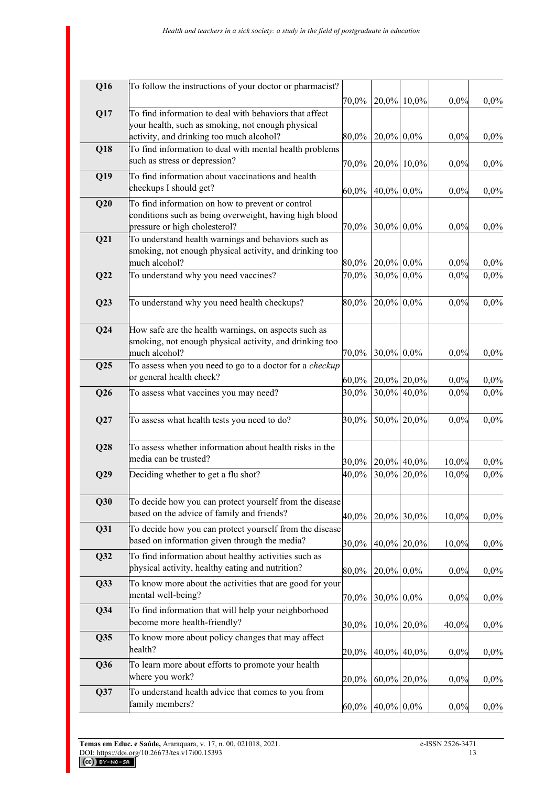| Q16    | To follow the instructions of your doctor or pharmacist?                                                 | 70,0%               |                               | 20,0% 10,0%                |              |              |
|--------|----------------------------------------------------------------------------------------------------------|---------------------|-------------------------------|----------------------------|--------------|--------------|
| Q17    | To find information to deal with behaviors that affect                                                   |                     |                               |                            | 0,0%         | 0,0%         |
|        | your health, such as smoking, not enough physical                                                        |                     |                               |                            |              |              |
|        | activity, and drinking too much alcohol?                                                                 | 80,0%               | $20,0\%$ 0.0%                 |                            | 0,0%         | 0,0%         |
| Q18    | To find information to deal with mental health problems                                                  |                     |                               |                            |              |              |
|        | such as stress or depression?                                                                            | 70,0%               |                               | $20,0\%$ 10,0%             | 0,0%         | 0,0%         |
| Q19    | To find information about vaccinations and health                                                        |                     |                               |                            |              |              |
|        | checkups I should get?                                                                                   | $60,0\%$            | $40,0\%$ 0,0%                 |                            | 0,0%         | 0,0%         |
| Q20    | To find information on how to prevent or control                                                         |                     |                               |                            |              |              |
|        | conditions such as being overweight, having high blood                                                   |                     |                               |                            |              |              |
|        | pressure or high cholesterol?                                                                            | 70,0%               | 30,0% 0,0%                    |                            | 0,0%         | 0,0%         |
| Q21    | To understand health warnings and behaviors such as                                                      |                     |                               |                            |              |              |
|        | smoking, not enough physical activity, and drinking too                                                  |                     |                               |                            |              |              |
|        | much alcohol?                                                                                            | $80,\!0\%$          | $20,0\%$ 0.0%                 |                            | 0,0%         | 0,0%         |
| Q22    | To understand why you need vaccines?                                                                     | 70,0%               | 30,0% 0,0%                    |                            | 0,0%         | 0,0%         |
|        |                                                                                                          |                     |                               |                            |              |              |
| Q23    | To understand why you need health checkups?                                                              | 80,0%               | 20,0% 0,0%                    |                            | 0,0%         | 0,0%         |
|        |                                                                                                          |                     |                               |                            |              |              |
| Q24    | How safe are the health warnings, on aspects such as                                                     |                     |                               |                            |              |              |
|        | smoking, not enough physical activity, and drinking too<br>much alcohol?                                 | $70,\!0\%$          | 30,0% 0,0%                    |                            | 0,0%         | 0,0%         |
| Q25    | To assess when you need to go to a doctor for a checkup                                                  |                     |                               |                            |              |              |
|        | or general health check?                                                                                 |                     |                               |                            |              |              |
| Q26    | To assess what vaccines you may need?                                                                    | $60,\!0\%$<br>30,0% |                               | 20,0% 20,0%<br>30,0% 40,0% | 0,0%<br>0,0% | 0,0%<br>0,0% |
|        |                                                                                                          |                     |                               |                            |              |              |
| Q27    | To assess what health tests you need to do?                                                              | 30,0%               |                               | 50,0% 20,0%                | 0,0%         | 0,0%         |
|        |                                                                                                          |                     |                               |                            |              |              |
| Q28    | To assess whether information about health risks in the                                                  |                     |                               |                            |              |              |
|        | media can be trusted?                                                                                    |                     |                               |                            |              |              |
|        |                                                                                                          | 30,0%               |                               | 20,0% 40,0%                | 10,0%        | 0,0%         |
| Q29    | Deciding whether to get a flu shot?                                                                      | 40,0%               |                               | 30,0% 20,0%                | 10,0%        | 0,0%         |
|        |                                                                                                          |                     |                               |                            |              |              |
| Q30    | To decide how you can protect yourself from the disease<br>based on the advice of family and friends?    |                     |                               |                            |              |              |
|        |                                                                                                          | 40,0%               |                               | $20,0\%$ 30,0%             | 10,0%        | 0,0%         |
| Q31    | To decide how you can protect yourself from the disease<br>based on information given through the media? |                     |                               |                            |              |              |
|        |                                                                                                          | 30,0%               |                               | 40,0% 20,0%                | 10,0%        | 0,0%         |
| Q32    | To find information about healthy activities such as<br>physical activity, healthy eating and nutrition? |                     |                               |                            |              |              |
|        |                                                                                                          | 80,0%               | $20,0\%$ 0.0%                 |                            | 0,0%         | 0,0%         |
| Q33    | To know more about the activities that are good for your                                                 |                     |                               |                            |              |              |
|        | mental well-being?                                                                                       | 70,0%               | 30,0% 0,0%                    |                            | 0,0%         | 0,0%         |
| $Q$ 34 | To find information that will help your neighborhood                                                     |                     |                               |                            |              |              |
|        | become more health-friendly?                                                                             | 30,0%               |                               | 10,0% 20,0%                | 40,0%        | 0,0%         |
| Q35    | To know more about policy changes that may affect                                                        |                     |                               |                            |              |              |
|        | health?                                                                                                  | 20,0%               |                               | 40,0% 40,0%                | 0,0%         | 0,0%         |
| Q36    | To learn more about efforts to promote your health                                                       |                     |                               |                            |              |              |
|        | where you work?                                                                                          | 20,0%               |                               | $60,0\%$ 20,0%             | 0,0%         | 0,0%         |
| Q37    | To understand health advice that comes to you from                                                       |                     |                               |                            |              |              |
|        | family members?                                                                                          |                     | $60,0\%$   $40,0\%$   $0,0\%$ |                            | 0,0%         | $0,0\%$      |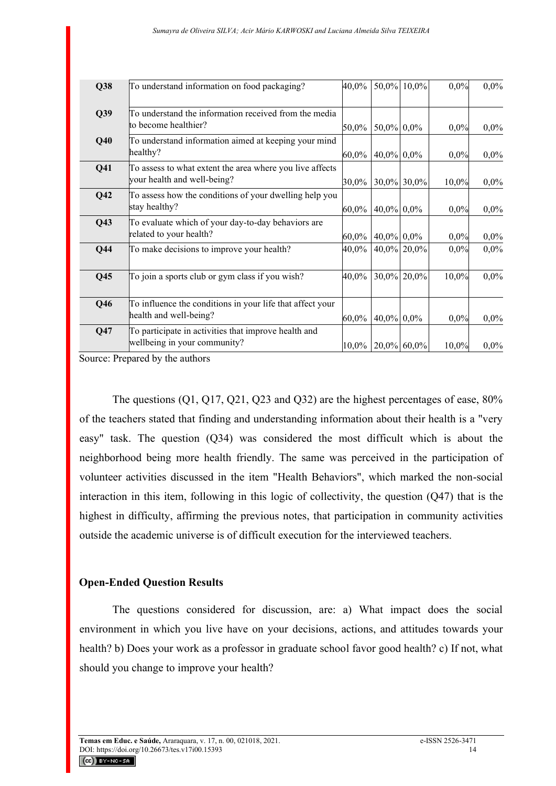| Q38             | To understand information on food packaging?              | 40,0%    |               | 50,0% 10,0% | 0,0%  | 0,0%    |
|-----------------|-----------------------------------------------------------|----------|---------------|-------------|-------|---------|
| Q39             | To understand the information received from the media     |          |               |             |       |         |
|                 | to become healthier?                                      | 50,0%    | 50,0% 0,0%    |             | 0,0%  | $0,0\%$ |
| Q40             | To understand information aimed at keeping your mind      |          |               |             |       |         |
|                 | healthy?                                                  | 60,0%    | 40,0% 0,0%    |             | 0,0%  | $0,0\%$ |
| Q <sub>41</sub> | To assess to what extent the area where you live affects  |          |               |             |       |         |
|                 | your health and well-being?                               | 30,0%    |               | 30,0% 30,0% | 10,0% | $0,0\%$ |
| Q <sub>42</sub> | To assess how the conditions of your dwelling help you    |          |               |             |       |         |
|                 | stay healthy?                                             | 60,0%    | 40,0% 0,0%    |             | 0,0%  | $0,0\%$ |
| Q43             | To evaluate which of your day-to-day behaviors are        |          |               |             |       |         |
|                 | related to your health?                                   | $60,0\%$ | $40,0\%$ 0.0% |             | 0,0%  | 0,0%    |
| $Q$ 44          | To make decisions to improve your health?                 | 40,0%    |               | 40,0% 20,0% | 0,0%  | 0,0%    |
|                 |                                                           |          |               |             |       |         |
| Q <sub>45</sub> | To join a sports club or gym class if you wish?           | 40,0%    |               | 30,0% 20,0% | 10,0% | 0,0%    |
|                 |                                                           |          |               |             |       |         |
| Q46             | To influence the conditions in your life that affect your |          |               |             |       |         |
|                 | health and well-being?                                    | 60,0%    | 40,0% 0,0%    |             | 0,0%  | $0,0\%$ |
| Q47             | To participate in activities that improve health and      |          |               |             |       |         |
|                 | wellbeing in your community?                              | $10,0\%$ |               | 20,0% 60,0% | 10,0% | 0,0%    |
|                 |                                                           |          |               |             |       |         |

Source: Prepared by the authors

The questions (Q1, Q17, Q21, Q23 and Q32) are the highest percentages of ease, 80% of the teachers stated that finding and understanding information about their health is a "very easy" task. The question (Q34) was considered the most difficult which is about the neighborhood being more health friendly. The same was perceived in the participation of volunteer activities discussed in the item "Health Behaviors", which marked the non-social interaction in this item, following in this logic of collectivity, the question (Q47) that is the highest in difficulty, affirming the previous notes, that participation in community activities outside the academic universe is of difficult execution for the interviewed teachers.

## **Open-Ended Question Results**

The questions considered for discussion, are: a) What impact does the social environment in which you live have on your decisions, actions, and attitudes towards your health? b) Does your work as a professor in graduate school favor good health? c) If not, what should you change to improve your health?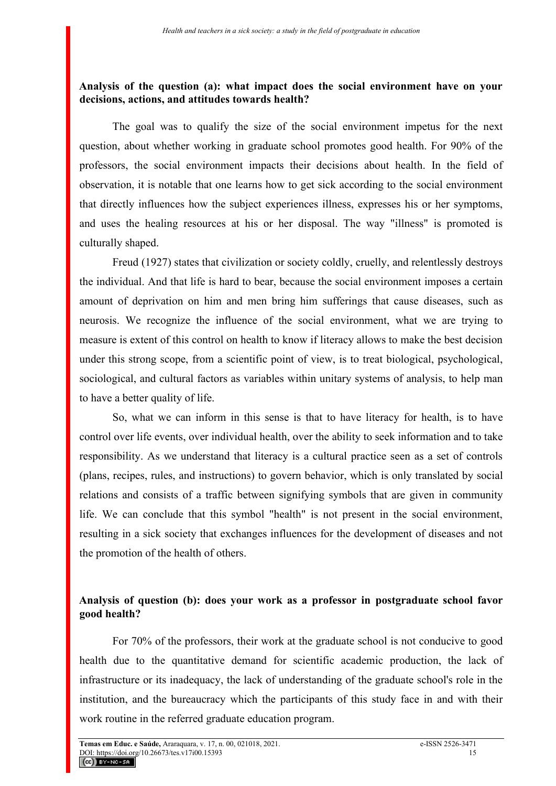## **Analysis of the question (a): what impact does the social environment have on your decisions, actions, and attitudes towards health?**

The goal was to qualify the size of the social environment impetus for the next question, about whether working in graduate school promotes good health. For 90% of the professors, the social environment impacts their decisions about health. In the field of observation, it is notable that one learns how to get sick according to the social environment that directly influences how the subject experiences illness, expresses his or her symptoms, and uses the healing resources at his or her disposal. The way "illness" is promoted is culturally shaped.

Freud (1927) states that civilization or society coldly, cruelly, and relentlessly destroys the individual. And that life is hard to bear, because the social environment imposes a certain amount of deprivation on him and men bring him sufferings that cause diseases, such as neurosis. We recognize the influence of the social environment, what we are trying to measure is extent of this control on health to know if literacy allows to make the best decision under this strong scope, from a scientific point of view, is to treat biological, psychological, sociological, and cultural factors as variables within unitary systems of analysis, to help man to have a better quality of life.

So, what we can inform in this sense is that to have literacy for health, is to have control over life events, over individual health, over the ability to seek information and to take responsibility. As we understand that literacy is a cultural practice seen as a set of controls (plans, recipes, rules, and instructions) to govern behavior, which is only translated by social relations and consists of a traffic between signifying symbols that are given in community life. We can conclude that this symbol "health" is not present in the social environment, resulting in a sick society that exchanges influences for the development of diseases and not the promotion of the health of others.

# **Analysis of question (b): does your work as a professor in postgraduate school favor good health?**

For 70% of the professors, their work at the graduate school is not conducive to good health due to the quantitative demand for scientific academic production, the lack of infrastructure or its inadequacy, the lack of understanding of the graduate school's role in the institution, and the bureaucracy which the participants of this study face in and with their work routine in the referred graduate education program.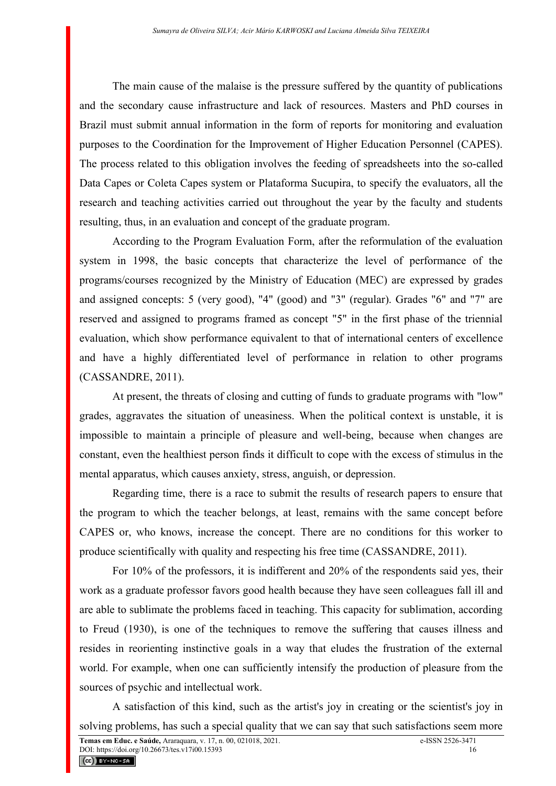The main cause of the malaise is the pressure suffered by the quantity of publications and the secondary cause infrastructure and lack of resources. Masters and PhD courses in Brazil must submit annual information in the form of reports for monitoring and evaluation purposes to the Coordination for the Improvement of Higher Education Personnel (CAPES). The process related to this obligation involves the feeding of spreadsheets into the so-called Data Capes or Coleta Capes system or Plataforma Sucupira, to specify the evaluators, all the research and teaching activities carried out throughout the year by the faculty and students resulting, thus, in an evaluation and concept of the graduate program.

According to the Program Evaluation Form, after the reformulation of the evaluation system in 1998, the basic concepts that characterize the level of performance of the programs/courses recognized by the Ministry of Education (MEC) are expressed by grades and assigned concepts: 5 (very good), "4" (good) and "3" (regular). Grades "6" and "7" are reserved and assigned to programs framed as concept "5" in the first phase of the triennial evaluation, which show performance equivalent to that of international centers of excellence and have a highly differentiated level of performance in relation to other programs (CASSANDRE, 2011).

At present, the threats of closing and cutting of funds to graduate programs with "low" grades, aggravates the situation of uneasiness. When the political context is unstable, it is impossible to maintain a principle of pleasure and well-being, because when changes are constant, even the healthiest person finds it difficult to cope with the excess of stimulus in the mental apparatus, which causes anxiety, stress, anguish, or depression.

Regarding time, there is a race to submit the results of research papers to ensure that the program to which the teacher belongs, at least, remains with the same concept before CAPES or, who knows, increase the concept. There are no conditions for this worker to produce scientifically with quality and respecting his free time (CASSANDRE, 2011).

For 10% of the professors, it is indifferent and 20% of the respondents said yes, their work as a graduate professor favors good health because they have seen colleagues fall ill and are able to sublimate the problems faced in teaching. This capacity for sublimation, according to Freud (1930), is one of the techniques to remove the suffering that causes illness and resides in reorienting instinctive goals in a way that eludes the frustration of the external world. For example, when one can sufficiently intensify the production of pleasure from the sources of psychic and intellectual work.

A satisfaction of this kind, such as the artist's joy in creating or the scientist's joy in solving problems, has such a special quality that we can say that such satisfactions seem more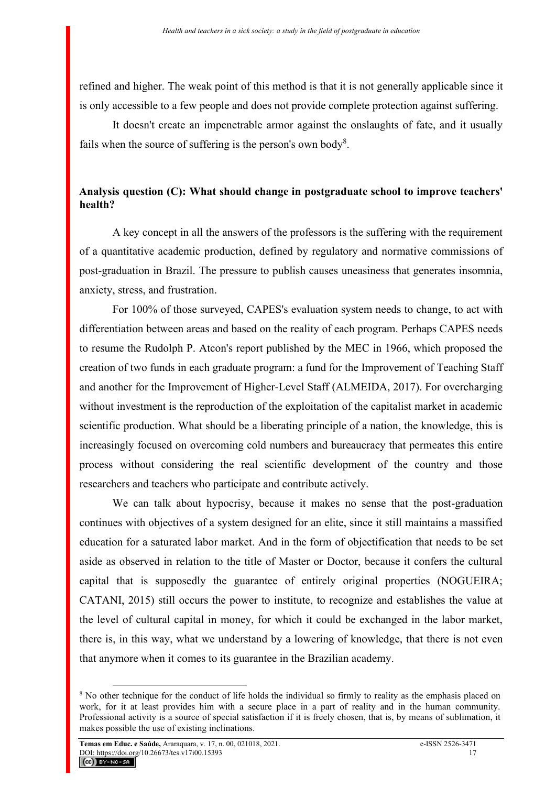refined and higher. The weak point of this method is that it is not generally applicable since it is only accessible to a few people and does not provide complete protection against suffering.

It doesn't create an impenetrable armor against the onslaughts of fate, and it usually fails when the source of suffering is the person's own body<sup>8</sup>.

# **Analysis question (C): What should change in postgraduate school to improve teachers' health?**

A key concept in all the answers of the professors is the suffering with the requirement of a quantitative academic production, defined by regulatory and normative commissions of post-graduation in Brazil. The pressure to publish causes uneasiness that generates insomnia, anxiety, stress, and frustration.

For 100% of those surveyed, CAPES's evaluation system needs to change, to act with differentiation between areas and based on the reality of each program. Perhaps CAPES needs to resume the Rudolph P. Atcon's report published by the MEC in 1966, which proposed the creation of two funds in each graduate program: a fund for the Improvement of Teaching Staff and another for the Improvement of Higher-Level Staff (ALMEIDA, 2017). For overcharging without investment is the reproduction of the exploitation of the capitalist market in academic scientific production. What should be a liberating principle of a nation, the knowledge, this is increasingly focused on overcoming cold numbers and bureaucracy that permeates this entire process without considering the real scientific development of the country and those researchers and teachers who participate and contribute actively.

We can talk about hypocrisy, because it makes no sense that the post-graduation continues with objectives of a system designed for an elite, since it still maintains a massified education for a saturated labor market. And in the form of objectification that needs to be set aside as observed in relation to the title of Master or Doctor, because it confers the cultural capital that is supposedly the guarantee of entirely original properties (NOGUEIRA; CATANI, 2015) still occurs the power to institute, to recognize and establishes the value at the level of cultural capital in money, for which it could be exchanged in the labor market, there is, in this way, what we understand by a lowering of knowledge, that there is not even that anymore when it comes to its guarantee in the Brazilian academy.

<sup>&</sup>lt;sup>8</sup> No other technique for the conduct of life holds the individual so firmly to reality as the emphasis placed on work, for it at least provides him with a secure place in a part of reality and in the human community. Professional activity is a source of special satisfaction if it is freely chosen, that is, by means of sublimation, it makes possible the use of existing inclinations.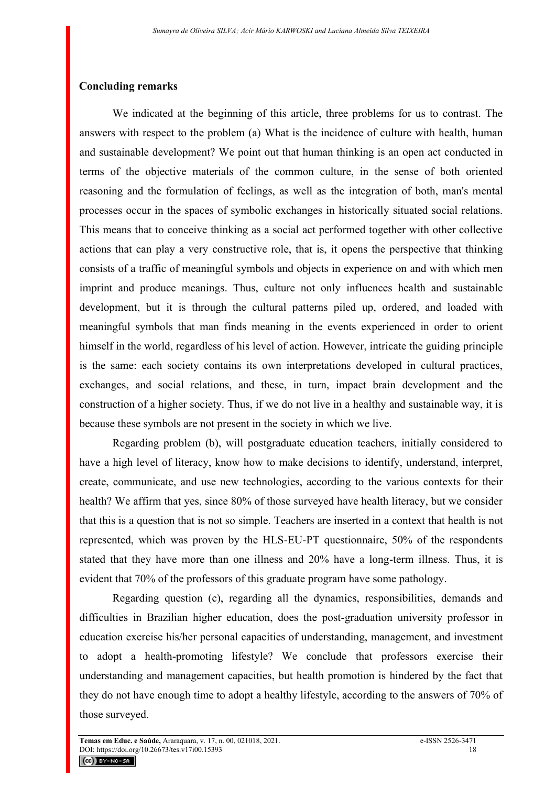### **Concluding remarks**

We indicated at the beginning of this article, three problems for us to contrast. The answers with respect to the problem (a) What is the incidence of culture with health, human and sustainable development? We point out that human thinking is an open act conducted in terms of the objective materials of the common culture, in the sense of both oriented reasoning and the formulation of feelings, as well as the integration of both, man's mental processes occur in the spaces of symbolic exchanges in historically situated social relations. This means that to conceive thinking as a social act performed together with other collective actions that can play a very constructive role, that is, it opens the perspective that thinking consists of a traffic of meaningful symbols and objects in experience on and with which men imprint and produce meanings. Thus, culture not only influences health and sustainable development, but it is through the cultural patterns piled up, ordered, and loaded with meaningful symbols that man finds meaning in the events experienced in order to orient himself in the world, regardless of his level of action. However, intricate the guiding principle is the same: each society contains its own interpretations developed in cultural practices, exchanges, and social relations, and these, in turn, impact brain development and the construction of a higher society. Thus, if we do not live in a healthy and sustainable way, it is because these symbols are not present in the society in which we live.

Regarding problem (b), will postgraduate education teachers, initially considered to have a high level of literacy, know how to make decisions to identify, understand, interpret, create, communicate, and use new technologies, according to the various contexts for their health? We affirm that yes, since 80% of those surveyed have health literacy, but we consider that this is a question that is not so simple. Teachers are inserted in a context that health is not represented, which was proven by the HLS-EU-PT questionnaire, 50% of the respondents stated that they have more than one illness and 20% have a long-term illness. Thus, it is evident that 70% of the professors of this graduate program have some pathology.

Regarding question (c), regarding all the dynamics, responsibilities, demands and difficulties in Brazilian higher education, does the post-graduation university professor in education exercise his/her personal capacities of understanding, management, and investment to adopt a health-promoting lifestyle? We conclude that professors exercise their understanding and management capacities, but health promotion is hindered by the fact that they do not have enough time to adopt a healthy lifestyle, according to the answers of 70% of those surveyed.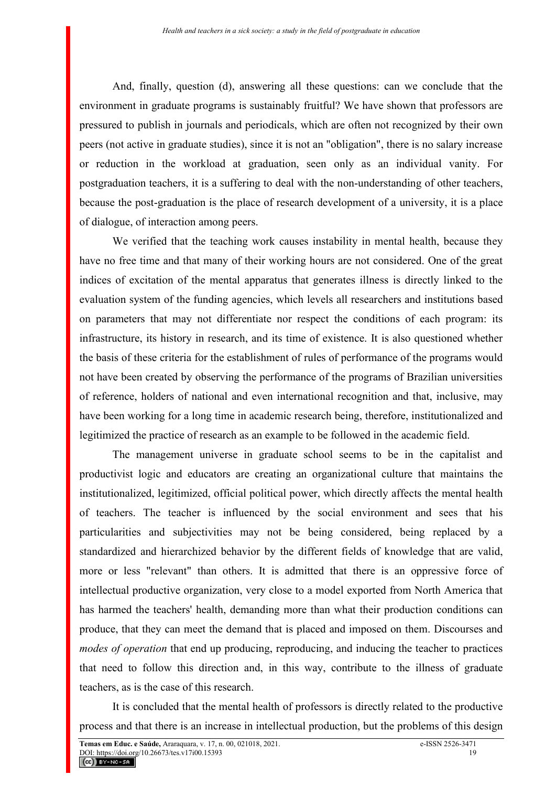And, finally, question (d), answering all these questions: can we conclude that the environment in graduate programs is sustainably fruitful? We have shown that professors are pressured to publish in journals and periodicals, which are often not recognized by their own peers (not active in graduate studies), since it is not an "obligation", there is no salary increase or reduction in the workload at graduation, seen only as an individual vanity. For postgraduation teachers, it is a suffering to deal with the non-understanding of other teachers, because the post-graduation is the place of research development of a university, it is a place of dialogue, of interaction among peers.

We verified that the teaching work causes instability in mental health, because they have no free time and that many of their working hours are not considered. One of the great indices of excitation of the mental apparatus that generates illness is directly linked to the evaluation system of the funding agencies, which levels all researchers and institutions based on parameters that may not differentiate nor respect the conditions of each program: its infrastructure, its history in research, and its time of existence. It is also questioned whether the basis of these criteria for the establishment of rules of performance of the programs would not have been created by observing the performance of the programs of Brazilian universities of reference, holders of national and even international recognition and that, inclusive, may have been working for a long time in academic research being, therefore, institutionalized and legitimized the practice of research as an example to be followed in the academic field.

The management universe in graduate school seems to be in the capitalist and productivist logic and educators are creating an organizational culture that maintains the institutionalized, legitimized, official political power, which directly affects the mental health of teachers. The teacher is influenced by the social environment and sees that his particularities and subjectivities may not be being considered, being replaced by a standardized and hierarchized behavior by the different fields of knowledge that are valid, more or less "relevant" than others. It is admitted that there is an oppressive force of intellectual productive organization, very close to a model exported from North America that has harmed the teachers' health, demanding more than what their production conditions can produce, that they can meet the demand that is placed and imposed on them. Discourses and *modes of operation* that end up producing, reproducing, and inducing the teacher to practices that need to follow this direction and, in this way, contribute to the illness of graduate teachers, as is the case of this research.

It is concluded that the mental health of professors is directly related to the productive process and that there is an increase in intellectual production, but the problems of this design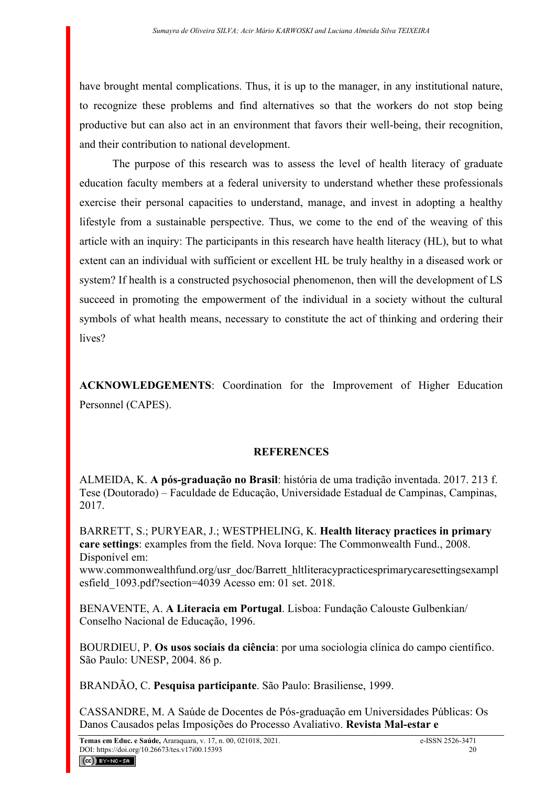have brought mental complications. Thus, it is up to the manager, in any institutional nature, to recognize these problems and find alternatives so that the workers do not stop being productive but can also act in an environment that favors their well-being, their recognition, and their contribution to national development.

The purpose of this research was to assess the level of health literacy of graduate education faculty members at a federal university to understand whether these professionals exercise their personal capacities to understand, manage, and invest in adopting a healthy lifestyle from a sustainable perspective. Thus, we come to the end of the weaving of this article with an inquiry: The participants in this research have health literacy (HL), but to what extent can an individual with sufficient or excellent HL be truly healthy in a diseased work or system? If health is a constructed psychosocial phenomenon, then will the development of LS succeed in promoting the empowerment of the individual in a society without the cultural symbols of what health means, necessary to constitute the act of thinking and ordering their lives?

**ACKNOWLEDGEMENTS**: Coordination for the Improvement of Higher Education Personnel (CAPES).

## **REFERENCES**

ALMEIDA, K. **A pós-graduação no Brasil**: história de uma tradição inventada. 2017. 213 f. Tese (Doutorado) – Faculdade de Educação, Universidade Estadual de Campinas, Campinas, 2017.

BARRETT, S.; PURYEAR, J.; WESTPHELING, K. **Health literacy practices in primary care settings**: examples from the field. Nova Iorque: The Commonwealth Fund., 2008. Disponível em:

www.commonwealthfund.org/usr\_doc/Barrett\_hltliteracypracticesprimarycaresettingsexampl esfield\_1093.pdf?section=4039 Acesso em: 01 set. 2018.

BENAVENTE, A. **A Literacia em Portugal**. Lisboa: Fundação Calouste Gulbenkian/ Conselho Nacional de Educação, 1996.

BOURDIEU, P. **Os usos sociais da ciência**: por uma sociologia clínica do campo científico. São Paulo: UNESP, 2004. 86 p.

BRANDÃO, C. **Pesquisa participante**. São Paulo: Brasiliense, 1999.

CASSANDRE, M. A Saúde de Docentes de Pós-graduação em Universidades Públicas: Os Danos Causados pelas Imposições do Processo Avaliativo. **Revista Mal-estar e**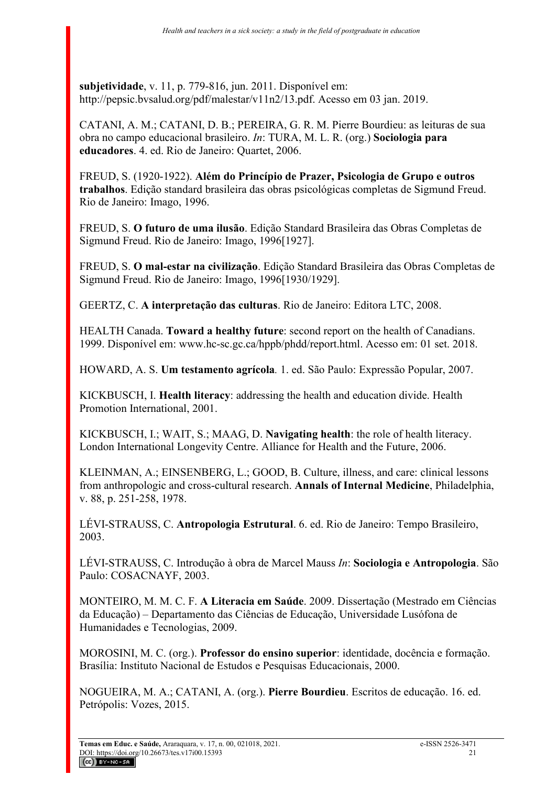**subjetividade**, v. 11, p. 779-816, jun. 2011. Disponível em: http://pepsic.bvsalud.org/pdf/malestar/v11n2/13.pdf. Acesso em 03 jan. 2019.

CATANI, A. M.; CATANI, D. B.; PEREIRA, G. R. M. Pierre Bourdieu: as leituras de sua obra no campo educacional brasileiro. *In*: TURA, M. L. R. (org.) **Sociologia para educadores**. 4. ed. Rio de Janeiro: Quartet, 2006.

FREUD, S. (1920-1922). **Além do Princípio de Prazer, Psicologia de Grupo e outros trabalhos**. Edição standard brasileira das obras psicológicas completas de Sigmund Freud. Rio de Janeiro: Imago, 1996.

FREUD, S. **O futuro de uma ilusão**. Edição Standard Brasileira das Obras Completas de Sigmund Freud. Rio de Janeiro: Imago, 1996[1927].

FREUD, S. **O mal-estar na civilização**. Edição Standard Brasileira das Obras Completas de Sigmund Freud. Rio de Janeiro: Imago, 1996[1930/1929].

GEERTZ, C. **A interpretação das culturas**. Rio de Janeiro: Editora LTC, 2008.

HEALTH Canada. **Toward a healthy future**: second report on the health of Canadians. 1999. Disponível em: www.hc-sc.gc.ca/hppb/phdd/report.html. Acesso em: 01 set. 2018.

HOWARD, A. S. **Um testamento agrícola***.* 1. ed. São Paulo: Expressão Popular, 2007.

KICKBUSCH, I. **Health literacy**: addressing the health and education divide. Health Promotion International, 2001.

KICKBUSCH, I.; WAIT, S.; MAAG, D. **Navigating health**: the role of health literacy. London International Longevity Centre. Alliance for Health and the Future, 2006.

KLEINMAN, A.; EINSENBERG, L.; GOOD, B. Culture, illness, and care: clinical lessons from anthropologic and cross-cultural research. **Annals of Internal Medicine**, Philadelphia, v. 88, p. 251-258, 1978.

LÉVI-STRAUSS, C. **Antropologia Estrutural**. 6. ed. Rio de Janeiro: Tempo Brasileiro, 2003.

LÉVI-STRAUSS, C. Introdução à obra de Marcel Mauss *In*: **Sociologia e Antropologia**. São Paulo: COSACNAYF, 2003.

MONTEIRO, M. M. C. F. **A Literacia em Saúde**. 2009. Dissertação (Mestrado em Ciências da Educação) – Departamento das Ciências de Educação, Universidade Lusófona de Humanidades e Tecnologias, 2009.

MOROSINI, M. C. (org.). **Professor do ensino superior**: identidade, docência e formação. Brasília: Instituto Nacional de Estudos e Pesquisas Educacionais, 2000.

NOGUEIRA, M. A.; CATANI, A. (org.). **Pierre Bourdieu**. Escritos de educação. 16. ed. Petrópolis: Vozes, 2015.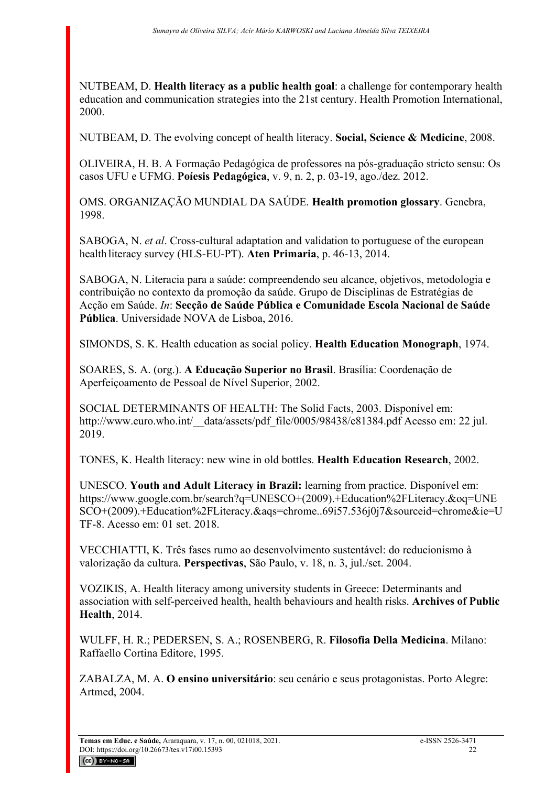NUTBEAM, D. **Health literacy as a public health goal**: a challenge for contemporary health education and communication strategies into the 21st century. Health Promotion International, 2000.

NUTBEAM, D. The evolving concept of health literacy. **Social, Science & Medicine**, 2008.

OLIVEIRA, H. B. A Formação Pedagógica de professores na pós-graduação stricto sensu: Os casos UFU e UFMG. **Poíesis Pedagógica**, v. 9, n. 2, p. 03-19, ago./dez. 2012.

OMS. ORGANIZAÇÃO MUNDIAL DA SAÚDE. **Health promotion glossary**. Genebra, 1998.

SABOGA, N. *et al*. Cross-cultural adaptation and validation to portuguese of the european health literacy survey (HLS-EU-PT). **Aten Primaria**, p. 46-13, 2014.

SABOGA, N. Literacia para a saúde: compreendendo seu alcance, objetivos, metodologia e contribuição no contexto da promoção da saúde. Grupo de Disciplinas de Estratégias de Acção em Saúde. *In*: **Secção de Saúde Pública e Comunidade Escola Nacional de Saúde Pública**. Universidade NOVA de Lisboa, 2016.

SIMONDS, S. K. Health education as social policy. **Health Education Monograph**, 1974.

SOARES, S. A. (org.). **A Educação Superior no Brasil**. Brasília: Coordenação de Aperfeiçoamento de Pessoal de Nível Superior, 2002.

SOCIAL DETERMINANTS OF HEALTH: The Solid Facts, 2003. Disponível em: http://www.euro.who.int/\_data/assets/pdf\_file/0005/98438/e81384.pdf Acesso em: 22 jul. 2019.

TONES, K. Health literacy: new wine in old bottles. **Health Education Research**, 2002.

UNESCO. **Youth and Adult Literacy in Brazil:** learning from practice. Disponível em: https://www.google.com.br/search?q=UNESCO+(2009).+Education%2FLiteracy.&oq=UNE SCO+(2009).+Education%2FLiteracy.&aqs=chrome..69i57.536j0j7&sourceid=chrome&ie=U TF-8. Acesso em: 01 set. 2018.

VECCHIATTI, K. Três fases rumo ao desenvolvimento sustentável: do reducionismo à valorização da cultura. **Perspectivas**, São Paulo, v. 18, n. 3, jul./set. 2004.

VOZIKIS, A. Health literacy among university students in Greece: Determinants and association with self-perceived health, health behaviours and health risks. **Archives of Public Health**, 2014.

WULFF, H. R.; PEDERSEN, S. A.; ROSENBERG, R. **Filosofia Della Medicina**. Milano: Raffaello Cortina Editore, 1995.

ZABALZA, M. A. **O ensino universitário**: seu cenário e seus protagonistas. Porto Alegre: Artmed, 2004.